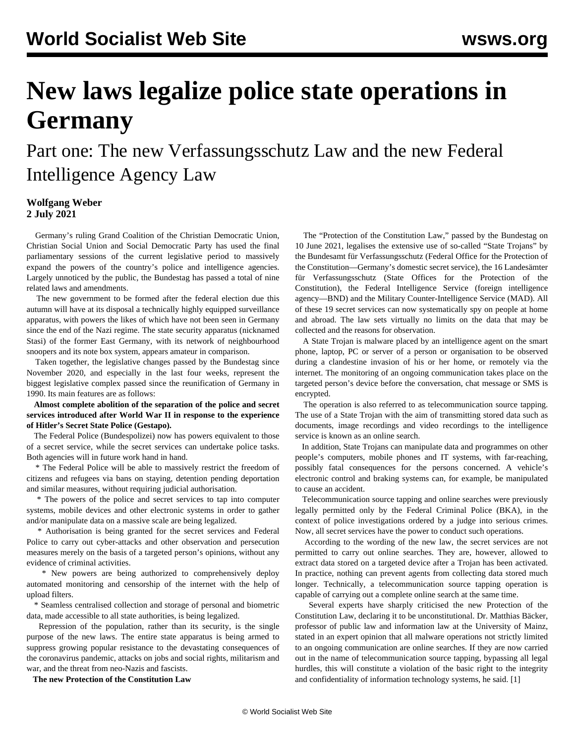## **New laws legalize police state operations in Germany**

Part one: The new Verfassungsschutz Law and the new Federal Intelligence Agency Law

## **Wolfgang Weber 2 July 2021**

 Germany's ruling Grand Coalition of the Christian Democratic Union, Christian Social Union and Social Democratic Party has used the final parliamentary sessions of the current legislative period to massively expand the powers of the country's police and intelligence agencies. Largely unnoticed by the public, the Bundestag has passed a total of nine related laws and amendments.

 The new government to be formed after the federal election due this autumn will have at its disposal a technically highly equipped surveillance apparatus, with powers the likes of which have not been seen in Germany since the end of the Nazi regime. The state security apparatus (nicknamed Stasi) of the former East Germany, with its network of neighbourhood snoopers and its note box system, appears amateur in comparison.

 Taken together, the legislative changes passed by the Bundestag since November 2020, and especially in the last four weeks, represent the biggest legislative complex passed since the reunification of Germany in 1990. Its main features are as follows:

 **Almost complete abolition of the separation of the police and secret services introduced after World War II in response to the experience of Hitler's Secret State Police (Gestapo).**

 The Federal Police (Bundespolizei) now has powers equivalent to those of a secret service, while the secret services can undertake police tasks. Both agencies will in future work hand in hand.

 \* The Federal Police will be able to massively restrict the freedom of citizens and refugees via bans on staying, detention pending deportation and similar measures, without requiring judicial authorisation.

 \* The powers of the police and secret services to tap into computer systems, mobile devices and other electronic systems in order to gather and/or manipulate data on a massive scale are being legalized.

 \* Authorisation is being granted for the secret services and Federal Police to carry out cyber-attacks and other observation and persecution measures merely on the basis of a targeted person's opinions, without any evidence of criminal activities.

 \* New powers are being authorized to comprehensively deploy automated monitoring and censorship of the internet with the help of upload filters.

 \* Seamless centralised collection and storage of personal and biometric data, made accessible to all state authorities, is being legalized.

 Repression of the population, rather than its security, is the single purpose of the new laws. The entire state apparatus is being armed to suppress growing popular resistance to the devastating consequences of the coronavirus pandemic, attacks on jobs and social rights, militarism and war, and the threat from neo-Nazis and fascists.

**The new Protection of the Constitution Law**

 The "Protection of the Constitution Law," passed by the Bundestag on 10 June 2021, legalises the extensive use of so-called "State Trojans" by the Bundesamt für Verfassungsschutz (Federal Office for the Protection of the Constitution—Germany's domestic secret service), the 16 Landesämter für Verfassungsschutz (State Offices for the Protection of the Constitution), the Federal Intelligence Service (foreign intelligence agency—BND) and the Military Counter-Intelligence Service (MAD). All of these 19 secret services can now systematically spy on people at home and abroad. The law sets virtually no limits on the data that may be collected and the reasons for observation.

 A State Trojan is malware placed by an intelligence agent on the smart phone, laptop, PC or server of a person or organisation to be observed during a clandestine invasion of his or her home, or remotely via the internet. The monitoring of an ongoing communication takes place on the targeted person's device before the conversation, chat message or SMS is encrypted.

 The operation is also referred to as telecommunication source tapping. The use of a State Trojan with the aim of transmitting stored data such as documents, image recordings and video recordings to the intelligence service is known as an online search.

 In addition, State Trojans can manipulate data and programmes on other people's computers, mobile phones and IT systems, with far-reaching, possibly fatal consequences for the persons concerned. A vehicle's electronic control and braking systems can, for example, be manipulated to cause an accident.

 Telecommunication source tapping and online searches were previously legally permitted only by the Federal Criminal Police (BKA), in the context of police investigations ordered by a judge into serious crimes. Now, all secret services have the power to conduct such operations.

 According to the wording of the new law, the secret services are not permitted to carry out online searches. They are, however, allowed to extract data stored on a targeted device after a Trojan has been activated. In practice, nothing can prevent agents from collecting data stored much longer. Technically, a telecommunication source tapping operation is capable of carrying out a complete online search at the same time.

 Several experts have sharply criticised the new Protection of the Constitution Law, declaring it to be unconstitutional. Dr. Matthias Bäcker, professor of public law and information law at the University of Mainz, stated in an expert opinion that all malware operations not strictly limited to an ongoing communication are online searches. If they are now carried out in the name of telecommunication source tapping, bypassing all legal hurdles, this will constitute a violation of the basic right to the integrity and confidentiality of information technology systems, he said. [1]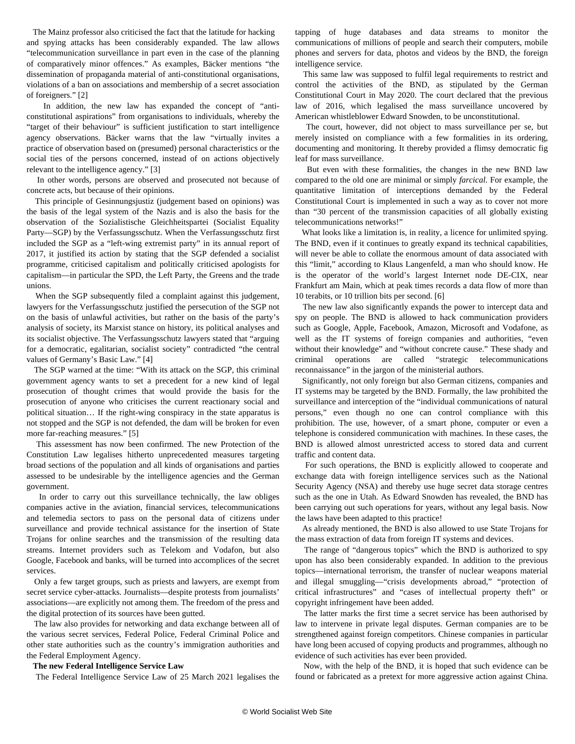The Mainz professor also criticised the fact that the latitude for hacking and spying attacks has been considerably expanded. The law allows "telecommunication surveillance in part even in the case of the planning of comparatively minor offences." As examples, Bäcker mentions "the dissemination of propaganda material of anti-constitutional organisations, violations of a ban on associations and membership of a secret association of foreigners." [2]

 In addition, the new law has expanded the concept of "anticonstitutional aspirations" from organisations to individuals, whereby the "target of their behaviour" is sufficient justification to start intelligence agency observations. Bäcker warns that the law "virtually invites a practice of observation based on (presumed) personal characteristics or the social ties of the persons concerned, instead of on actions objectively relevant to the intelligence agency." [3]

 In other words, persons are observed and prosecuted not because of concrete acts, but because of their opinions.

 This principle of Gesinnungsjustiz (judgement based on opinions) was the basis of the legal system of the Nazis and is also the basis for the observation of the Sozialistische Gleichheitspartei (Socialist Equality Party—SGP) by the Verfassungsschutz. When the Verfassungsschutz first included the SGP as a "left-wing extremist party" in its annual report of 2017, it justified its action by stating that the SGP defended a socialist programme, criticised capitalism and politically criticised apologists for capitalism—in particular the SPD, the Left Party, the Greens and the trade unions.

 When the SGP subsequently filed a complaint against this judgement, lawyers for the Verfassungsschutz justified the persecution of the SGP not on the basis of unlawful activities, but rather on the basis of the party's analysis of society, its Marxist stance on history, its political analyses and its socialist objective. The Verfassungsschutz lawyers stated that "arguing for a democratic, egalitarian, socialist society" contradicted "the central values of Germany's Basic Law." [4]

 The SGP warned at the time: "With its attack on the SGP, this criminal government agency wants to set a precedent for a new kind of legal prosecution of thought crimes that would provide the basis for the prosecution of anyone who criticises the current reactionary social and political situation… If the right-wing conspiracy in the state apparatus is not stopped and the SGP is not defended, the dam will be broken for even more far-reaching measures." [5]

 This assessment has now been confirmed. The new Protection of the Constitution Law legalises hitherto unprecedented measures targeting broad sections of the population and all kinds of organisations and parties assessed to be undesirable by the intelligence agencies and the German government.

 In order to carry out this surveillance technically, the law obliges companies active in the aviation, financial services, telecommunications and telemedia sectors to pass on the personal data of citizens under surveillance and provide technical assistance for the insertion of State Trojans for online searches and the transmission of the resulting data streams. Internet providers such as Telekom and Vodafon, but also Google, Facebook and banks, will be turned into accomplices of the secret services.

 Only a few target groups, such as priests and lawyers, are exempt from secret service cyber-attacks. Journalists—despite protests from journalists' associations—are explicitly not among them. The freedom of the press and the digital protection of its sources have been gutted.

 The law also provides for networking and data exchange between all of the various secret services, Federal Police, Federal Criminal Police and other state authorities such as the country's immigration authorities and the Federal Employment Agency.

## **The new Federal Intelligence Service Law**

The Federal Intelligence Service Law of 25 March 2021 legalises the

tapping of huge databases and data streams to monitor the communications of millions of people and search their computers, mobile phones and servers for data, photos and videos by the BND, the foreign intelligence service.

 This same law was supposed to fulfil legal requirements to restrict and control the activities of the BND, as stipulated by the German Constitutional Court in May 2020. The court declared that the previous law of 2016, which legalised the mass surveillance uncovered by American whistleblower Edward Snowden, to be unconstitutional.

 The court, however, did not object to mass surveillance per se, but merely insisted on compliance with a few formalities in its ordering, documenting and monitoring. It thereby provided a flimsy democratic fig leaf for mass surveillance.

 But even with these formalities, the changes in the new BND law compared to the old one are minimal or simply *farcical.* For example, the quantitative limitation of interceptions demanded by the Federal Constitutional Court is implemented in such a way as to cover not more than "30 percent of the transmission capacities of all globally existing telecommunications networks!"

 What looks like a limitation is, in reality, a licence for unlimited spying. The BND, even if it continues to greatly expand its technical capabilities, will never be able to collate the enormous amount of data associated with this "limit," according to Klaus Langenfeld, a man who should know. He is the operator of the world's largest Internet node DE-CIX, near Frankfurt am Main, which at peak times records a data flow of more than 10 terabits, or 10 trillion bits per second. [6]

 The new law also significantly expands the power to intercept data and spy on people. The BND is allowed to hack communication providers such as Google, Apple, Facebook, Amazon, Microsoft and Vodafone, as well as the IT systems of foreign companies and authorities, "even without their knowledge" and "without concrete cause." These shady and criminal operations are called "strategic telecommunications reconnaissance" in the jargon of the ministerial authors.

 Significantly, not only foreign but also German citizens, companies and IT systems may be targeted by the BND. Formally, the law prohibited the surveillance and interception of the "individual communications of natural persons," even though no one can control compliance with this prohibition. The use, however, of a smart phone, computer or even a telephone is considered communication with machines. In these cases, the BND is allowed almost unrestricted access to stored data and current traffic and content data.

 For such operations, the BND is explicitly allowed to cooperate and exchange data with foreign intelligence services such as the National Security Agency (NSA) and thereby use huge secret data storage centres such as the one in Utah. As Edward Snowden has revealed, the BND has been carrying out such operations for years, without any legal basis. Now the laws have been adapted to this practice!

 As already mentioned, the BND is also allowed to use State Trojans for the mass extraction of data from foreign IT systems and devices.

 The range of "dangerous topics" which the BND is authorized to spy upon has also been considerably expanded. In addition to the previous topics—international terrorism, the transfer of nuclear weapons material and illegal smuggling—"crisis developments abroad," "protection of critical infrastructures" and "cases of intellectual property theft" or copyright infringement have been added.

 The latter marks the first time a secret service has been authorised by law to intervene in private legal disputes. German companies are to be strengthened against foreign competitors. Chinese companies in particular have long been accused of copying products and programmes, although no evidence of such activities has ever been provided.

 Now, with the help of the BND, it is hoped that such evidence can be found or fabricated as a pretext for more aggressive action against China.